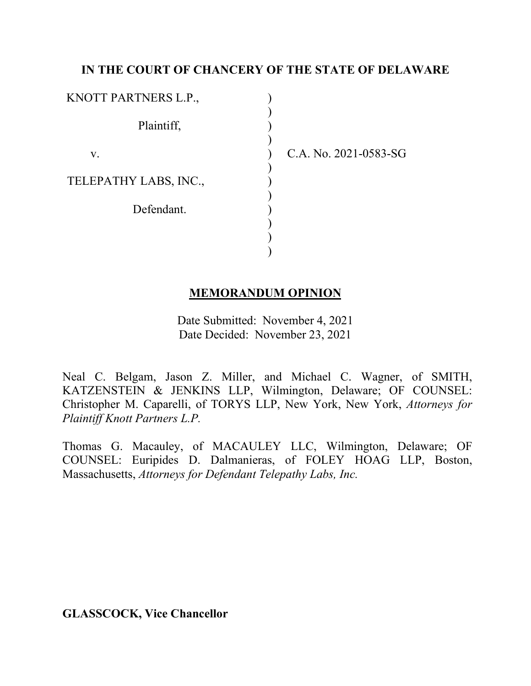# **IN THE COURT OF CHANCERY OF THE STATE OF DELAWARE**

) ) ) ) ) ) ) ) ) ) ) )

| KNOTT PARTNERS L.P.,  |  |
|-----------------------|--|
| Plaintiff,            |  |
| V.                    |  |
| TELEPATHY LABS, INC., |  |
| Defendant.            |  |
|                       |  |

C.A. No. 2021-0583-SG

## **MEMORANDUM OPINION**

Date Submitted: November 4, 2021 Date Decided: November 23, 2021

Neal C. Belgam, Jason Z. Miller, and Michael C. Wagner, of SMITH, KATZENSTEIN & JENKINS LLP, Wilmington, Delaware; OF COUNSEL: Christopher M. Caparelli, of TORYS LLP, New York, New York, *Attorneys for Plaintiff Knott Partners L.P.*

Thomas G. Macauley, of MACAULEY LLC, Wilmington, Delaware; OF COUNSEL: Euripides D. Dalmanieras, of FOLEY HOAG LLP, Boston, Massachusetts, *Attorneys for Defendant Telepathy Labs, Inc.*

**GLASSCOCK, Vice Chancellor**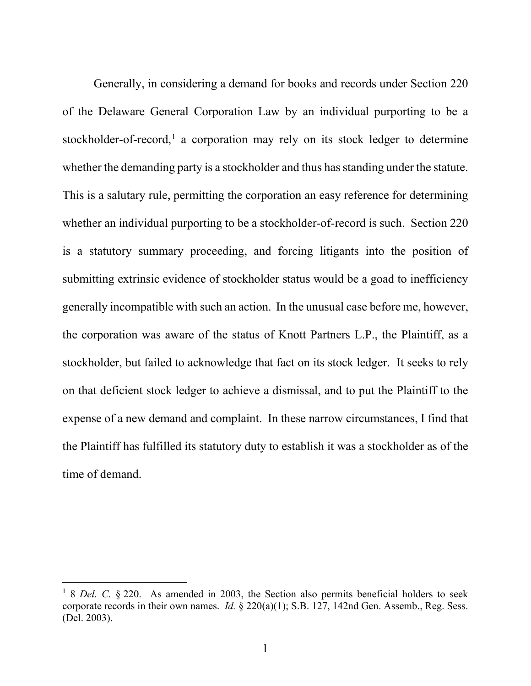Generally, in considering a demand for books and records under Section 220 of the Delaware General Corporation Law by an individual purporting to be a stockholder-of-record, <sup>1</sup> a corporation may rely on its stock ledger to determine whether the demanding party is a stockholder and thus has standing under the statute. This is a salutary rule, permitting the corporation an easy reference for determining whether an individual purporting to be a stockholder-of-record is such. Section 220 is a statutory summary proceeding, and forcing litigants into the position of submitting extrinsic evidence of stockholder status would be a goad to inefficiency generally incompatible with such an action. In the unusual case before me, however, the corporation was aware of the status of Knott Partners L.P., the Plaintiff, as a stockholder, but failed to acknowledge that fact on its stock ledger. It seeks to rely on that deficient stock ledger to achieve a dismissal, and to put the Plaintiff to the expense of a new demand and complaint. In these narrow circumstances, I find that the Plaintiff has fulfilled its statutory duty to establish it was a stockholder as of the time of demand.

<sup>&</sup>lt;sup>1</sup> 8 *Del.* C. § 220. As amended in 2003, the Section also permits beneficial holders to seek corporate records in their own names. *Id.* § 220(a)(1); S.B. 127, 142nd Gen. Assemb., Reg. Sess. (Del. 2003).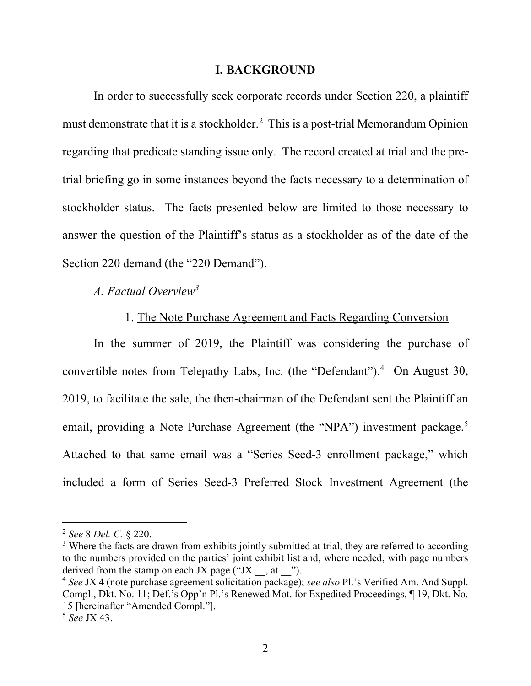#### **I. BACKGROUND**

In order to successfully seek corporate records under Section 220, a plaintiff must demonstrate that it is a stockholder.2 This is a post-trial Memorandum Opinion regarding that predicate standing issue only. The record created at trial and the pretrial briefing go in some instances beyond the facts necessary to a determination of stockholder status. The facts presented below are limited to those necessary to answer the question of the Plaintiff's status as a stockholder as of the date of the Section 220 demand (the "220 Demand").

*A. Factual Overview3*

### 1. The Note Purchase Agreement and Facts Regarding Conversion

In the summer of 2019, the Plaintiff was considering the purchase of convertible notes from Telepathy Labs, Inc. (the "Defendant").<sup>4</sup> On August 30, 2019, to facilitate the sale, the then-chairman of the Defendant sent the Plaintiff an email, providing a Note Purchase Agreement (the "NPA") investment package.<sup>5</sup> Attached to that same email was a "Series Seed-3 enrollment package," which included a form of Series Seed-3 Preferred Stock Investment Agreement (the

<sup>2</sup> *See* 8 *Del. C.* § 220.

<sup>&</sup>lt;sup>3</sup> Where the facts are drawn from exhibits jointly submitted at trial, they are referred to according to the numbers provided on the parties' joint exhibit list and, where needed, with page numbers derived from the stamp on each JX page ("JX  $\ldots$  at ").

<sup>&</sup>lt;sup>4</sup> See JX 4 (note purchase agreement solicitation package); *see also* Pl.'s Verified Am. And Suppl. Compl., Dkt. No. 11; Def.'s Opp'n Pl.'s Renewed Mot. for Expedited Proceedings, ¶ 19, Dkt. No. 15 [hereinafter "Amended Compl."].

<sup>5</sup> *See* JX 43.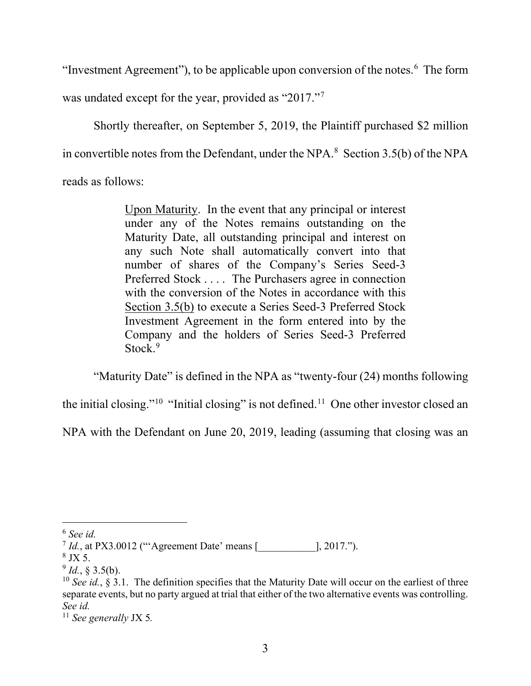"Investment Agreement"), to be applicable upon conversion of the notes.<sup>6</sup> The form

was undated except for the year, provided as "2017."<sup>7</sup>

Shortly thereafter, on September 5, 2019, the Plaintiff purchased \$2 million in convertible notes from the Defendant, under the NPA. $8$  Section 3.5(b) of the NPA reads as follows:

> Upon Maturity. In the event that any principal or interest under any of the Notes remains outstanding on the Maturity Date, all outstanding principal and interest on any such Note shall automatically convert into that number of shares of the Company's Series Seed-3 Preferred Stock . . . . The Purchasers agree in connection with the conversion of the Notes in accordance with this Section 3.5(b) to execute a Series Seed-3 Preferred Stock Investment Agreement in the form entered into by the Company and the holders of Series Seed-3 Preferred Stock.<sup>9</sup>

"Maturity Date" is defined in the NPA as "twenty-four (24) months following

the initial closing."<sup>10</sup> "Initial closing" is not defined.<sup>11</sup> One other investor closed an

NPA with the Defendant on June 20, 2019, leading (assuming that closing was an

<sup>6</sup> *See id.*

 $^{7}$  *Id.*, at PX3.0012 ("'Agreement Date' means [  $\qquad \qquad$  ], 2017.").

 $\frac{8}{9}$  JX 5.<br> $\frac{9}{9}$  *Id.*, § 3.5(b).

 $^{10}$  *See id.*, § 3.1. The definition specifies that the Maturity Date will occur on the earliest of three separate events, but no party argued at trial that either of the two alternative events was controlling. *See id.* 

<sup>11</sup> *See generally* JX 5*.*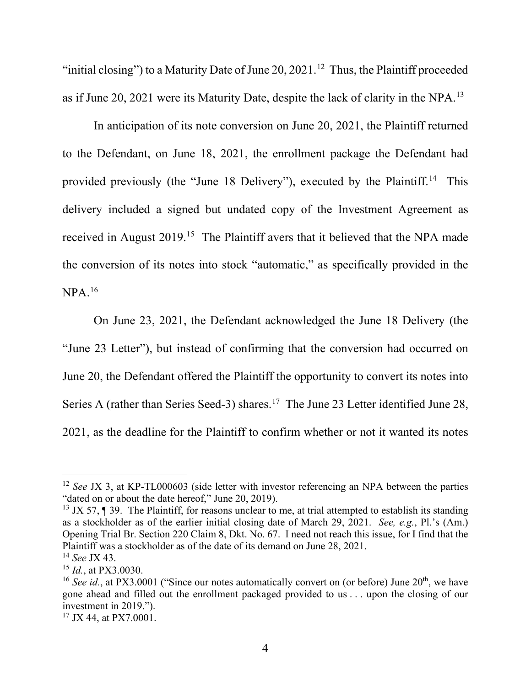"initial closing") to a Maturity Date of June 20, 2021.<sup>12</sup> Thus, the Plaintiff proceeded as if June 20, 2021 were its Maturity Date, despite the lack of clarity in the NPA.13

In anticipation of its note conversion on June 20, 2021, the Plaintiff returned to the Defendant, on June 18, 2021, the enrollment package the Defendant had provided previously (the "June 18 Delivery"), executed by the Plaintiff.<sup>14</sup> This delivery included a signed but undated copy of the Investment Agreement as received in August 2019.<sup>15</sup> The Plaintiff avers that it believed that the NPA made the conversion of its notes into stock "automatic," as specifically provided in the NPA.16

On June 23, 2021, the Defendant acknowledged the June 18 Delivery (the "June 23 Letter"), but instead of confirming that the conversion had occurred on June 20, the Defendant offered the Plaintiff the opportunity to convert its notes into Series A (rather than Series Seed-3) shares.<sup>17</sup> The June 23 Letter identified June 28, 2021, as the deadline for the Plaintiff to confirm whether or not it wanted its notes

<sup>&</sup>lt;sup>12</sup> *See JX* 3, at KP-TL000603 (side letter with investor referencing an NPA between the parties "dated on or about the date hereof," June 20, 2019).

 $13$  JX 57, ¶ 39. The Plaintiff, for reasons unclear to me, at trial attempted to establish its standing as a stockholder as of the earlier initial closing date of March 29, 2021. *See, e.g.*, Pl.'s (Am.) Opening Trial Br. Section 220 Claim 8, Dkt. No. 67. I need not reach this issue, for I find that the Plaintiff was a stockholder as of the date of its demand on June 28, 2021.

<sup>14</sup> *See* JX 43.

<sup>15</sup> *Id.*, at PX3.0030.

<sup>&</sup>lt;sup>16</sup> *See id.*, at PX3.0001 ("Since our notes automatically convert on (or before) June  $20<sup>th</sup>$ , we have gone ahead and filled out the enrollment packaged provided to us . . . upon the closing of our investment in 2019.").

<sup>&</sup>lt;sup>17</sup> JX 44, at PX7.0001.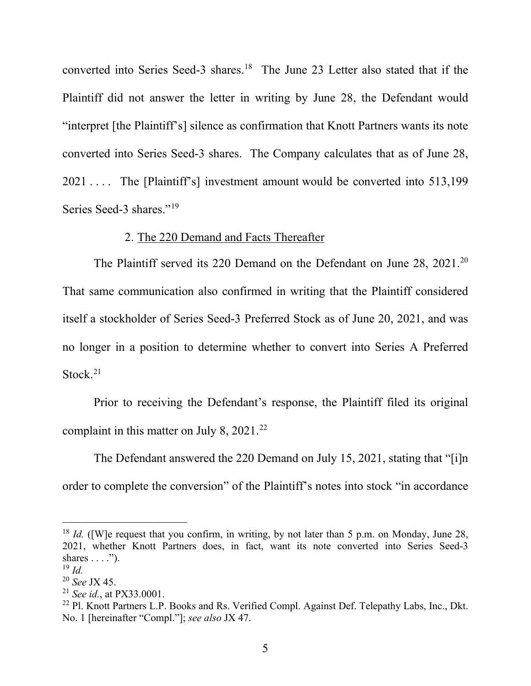converted into Series Seed-3 shares. <sup>18</sup> The June 23 Letter also stated that if the Plaintiff did not answer the letter in writing by June 28, the Defendant would "interpret [the Plaintiff's] silence as confirmation that Knott Partners wants its note converted into Series Seed-3 shares. The Company calculates that as of June 28, 2021 ... The [Plaintiff's] investment amount would be converted into 513,199 Series Seed-3 shares."<sup>19</sup>

#### 2. The 220 Demand and Facts Thereafter

The Plaintiff served its 220 Demand on the Defendant on June 28, 2021.20 That same communication also confirmed in writing that the Plaintiff considered itself a stockholder of Series Seed-3 Preferred Stock as of June 20, 2021, and was no longer in a position to determine whether to convert into Series A Preferred Stock. $21$ 

Prior to receiving the Defendant's response, the Plaintiff filed its original complaint in this matter on July 8, 2021.<sup>22</sup>

The Defendant answered the 220 Demand on July 15, 2021, stating that "[i]n order to complete the conversion" of the Plaintiff's notes into stock "in accordance

<sup>&</sup>lt;sup>18</sup> *Id.* ([W]e request that you confirm, in writing, by not later than 5 p.m. on Monday, June 28, 2021, whether Knott Partners does, in fact, want its note converted into Series Seed-3 shares  $\dots$ .").

 $19$  *Id.* 

<sup>20</sup> *See* JX 45.

<sup>21</sup> *See id.*, at PX33.0001.

<sup>&</sup>lt;sup>22</sup> Pl. Knott Partners L.P. Books and Rs. Verified Compl. Against Def. Telepathy Labs, Inc., Dkt. No. 1 [hereinafter "Compl."]; *see also* JX 47.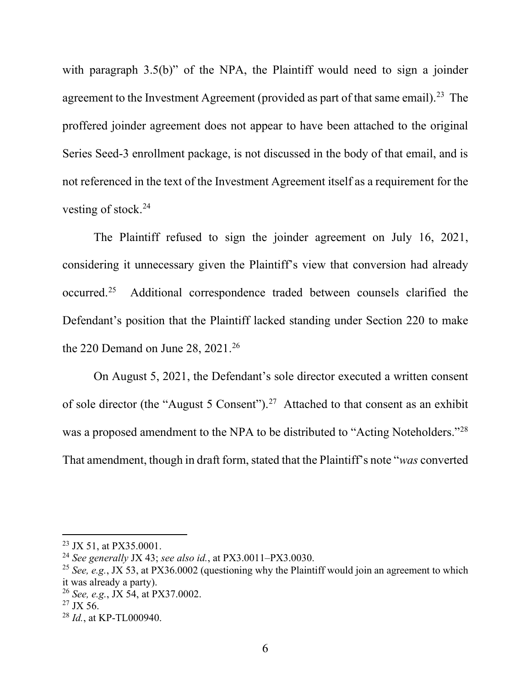with paragraph 3.5(b)" of the NPA, the Plaintiff would need to sign a joinder agreement to the Investment Agreement (provided as part of that same email).<sup>23</sup> The proffered joinder agreement does not appear to have been attached to the original Series Seed-3 enrollment package, is not discussed in the body of that email, and is not referenced in the text of the Investment Agreement itself as a requirement for the vesting of stock. 24

The Plaintiff refused to sign the joinder agreement on July 16, 2021, considering it unnecessary given the Plaintiff's view that conversion had already occurred. Additional correspondence traded between counsels clarified the Defendant's position that the Plaintiff lacked standing under Section 220 to make the 220 Demand on June 28, 2021. 26

On August 5, 2021, the Defendant's sole director executed a written consent of sole director (the "August 5 Consent").<sup>27</sup> Attached to that consent as an exhibit was a proposed amendment to the NPA to be distributed to "Acting Noteholders."28 That amendment, though in draft form, stated that the Plaintiff's note "*was* converted

<sup>&</sup>lt;sup>23</sup> JX 51, at PX35.0001.<br><sup>24</sup> *See generally* JX 43; *see also id.*, at PX3.0011–PX3.0030.<br><sup>25</sup> *See, e.g.*, JX 53, at PX36.0002 (questioning why the Plaintiff would join an agreement to which it was already a party).

<sup>26</sup> *See, e.g.*, JX 54, at PX37.0002.

 $27$  JX 56.

<sup>28</sup> *Id.*, at KP-TL000940.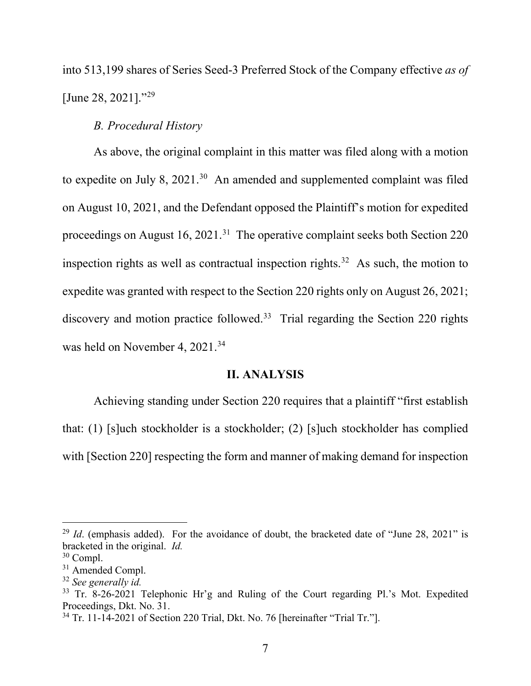into 513,199 shares of Series Seed-3 Preferred Stock of the Company effective *as of* [June 28, 2021]."<sup>29</sup>

# *B. Procedural History*

As above, the original complaint in this matter was filed along with a motion to expedite on July 8,  $2021<sup>30</sup>$  An amended and supplemented complaint was filed on August 10, 2021, and the Defendant opposed the Plaintiff's motion for expedited proceedings on August  $16$ ,  $2021$ .<sup>31</sup> The operative complaint seeks both Section 220 inspection rights as well as contractual inspection rights.<sup>32</sup> As such, the motion to expedite was granted with respect to the Section 220 rights only on August 26, 2021; discovery and motion practice followed.<sup>33</sup> Trial regarding the Section 220 rights was held on November 4, 2021.<sup>34</sup>

#### **II. ANALYSIS**

Achieving standing under Section 220 requires that a plaintiff "first establish that: (1) [s]uch stockholder is a stockholder; (2) [s]uch stockholder has complied with [Section 220] respecting the form and manner of making demand for inspection

<sup>&</sup>lt;sup>29</sup> *Id.* (emphasis added). For the avoidance of doubt, the bracketed date of "June 28, 2021" is bracketed in the original. *Id.* 

<sup>30</sup> Compl.

<sup>&</sup>lt;sup>31</sup> Amended Compl.

<sup>32</sup> *See generally id.*

<sup>&</sup>lt;sup>33</sup> Tr. 8-26-2021 Telephonic Hr'g and Ruling of the Court regarding Pl.'s Mot. Expedited Proceedings, Dkt. No. 31.

<sup>&</sup>lt;sup>34</sup> Tr. 11-14-2021 of Section 220 Trial, Dkt. No. 76 [hereinafter "Trial Tr."].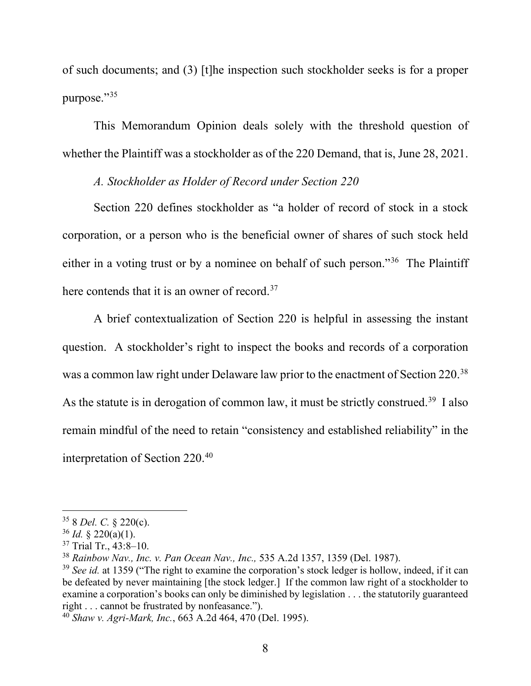of such documents; and (3) [t]he inspection such stockholder seeks is for a proper purpose."35

This Memorandum Opinion deals solely with the threshold question of whether the Plaintiff was a stockholder as of the 220 Demand, that is, June 28, 2021.

### *A. Stockholder as Holder of Record under Section 220*

Section 220 defines stockholder as "a holder of record of stock in a stock corporation, or a person who is the beneficial owner of shares of such stock held either in a voting trust or by a nominee on behalf of such person."36 The Plaintiff here contends that it is an owner of record.<sup>37</sup>

A brief contextualization of Section 220 is helpful in assessing the instant question. A stockholder's right to inspect the books and records of a corporation was a common law right under Delaware law prior to the enactment of Section 220.<sup>38</sup> As the statute is in derogation of common law, it must be strictly construed.<sup>39</sup> I also remain mindful of the need to retain "consistency and established reliability" in the interpretation of Section 220.40

<sup>35</sup> 8 *Del. C.* § 220(c).

 $36$  *Id.* § 220(a)(1).

<sup>&</sup>lt;sup>37</sup> Trial Tr., 43:8-10.

<sup>38</sup> *Rainbow Nav., Inc. v. Pan Ocean Nav., Inc.,* 535 A.2d 1357, 1359 (Del. 1987).

<sup>&</sup>lt;sup>39</sup> *See id.* at 1359 ("The right to examine the corporation's stock ledger is hollow, indeed, if it can be defeated by never maintaining [the stock ledger.] If the common law right of a stockholder to examine a corporation's books can only be diminished by legislation . . . the statutorily guaranteed right . . . cannot be frustrated by nonfeasance.").

<sup>40</sup> *Shaw v. Agri-Mark, Inc.*, 663 A.2d 464, 470 (Del. 1995).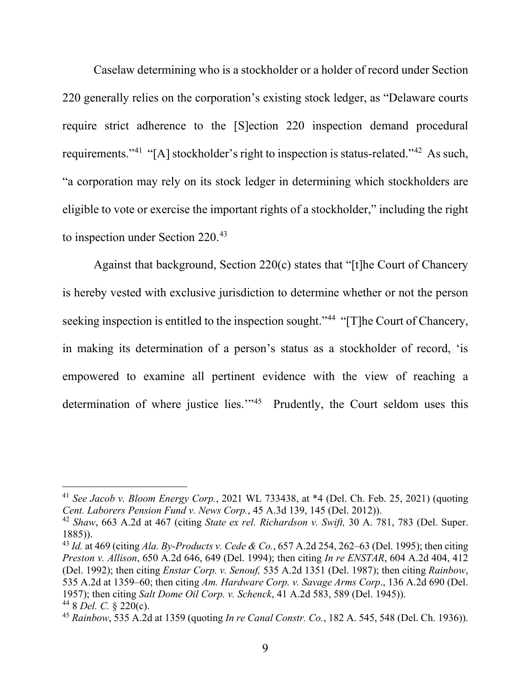Caselaw determining who is a stockholder or a holder of record under Section 220 generally relies on the corporation's existing stock ledger, as "Delaware courts require strict adherence to the [S]ection 220 inspection demand procedural requirements."41 "[A] stockholder's right to inspection is status-related."42 As such, "a corporation may rely on its stock ledger in determining which stockholders are eligible to vote or exercise the important rights of a stockholder," including the right to inspection under Section 220.43

Against that background, Section 220(c) states that "[t]he Court of Chancery is hereby vested with exclusive jurisdiction to determine whether or not the person seeking inspection is entitled to the inspection sought."<sup>44</sup> "[T]he Court of Chancery, in making its determination of a person's status as a stockholder of record, 'is empowered to examine all pertinent evidence with the view of reaching a determination of where justice lies."<sup>45</sup> Prudently, the Court seldom uses this

<sup>41</sup> *See Jacob v. Bloom Energy Corp.*, 2021 WL 733438, at \*4 (Del. Ch. Feb. 25, 2021) (quoting *Cent. Laborers Pension Fund v. News Corp.*, 45 A.3d 139, 145 (Del. 2012)).

<sup>42</sup> *Shaw*, 663 A.2d at 467 (citing *State ex rel. Richardson v. Swift,* 30 A. 781, 783 (Del. Super. 1885)). 43 *Id.* at 469 (citing *Ala. By-Products v. Cede & Co.*, 657 A.2d 254, 262–63 (Del. 1995); then citing

*Preston v. Allison*, 650 A.2d 646, 649 (Del. 1994); then citing *In re ENSTAR*, 604 A.2d 404, 412 (Del. 1992); then citing *Enstar Corp. v. Senouf,* 535 A.2d 1351 (Del. 1987); then citing *Rainbow*, 535 A.2d at 1359–60; then citing *Am. Hardware Corp. v. Savage Arms Corp*., 136 A.2d 690 (Del. 1957); then citing *Salt Dome Oil Corp. v. Schenck*, 41 A.2d 583, 589 (Del. 1945)). <sup>44</sup> 8 *Del. C.* § 220(c).

<sup>45</sup> *Rainbow*, 535 A.2d at 1359 (quoting *In re Canal Constr. Co.*, 182 A. 545, 548 (Del. Ch. 1936)).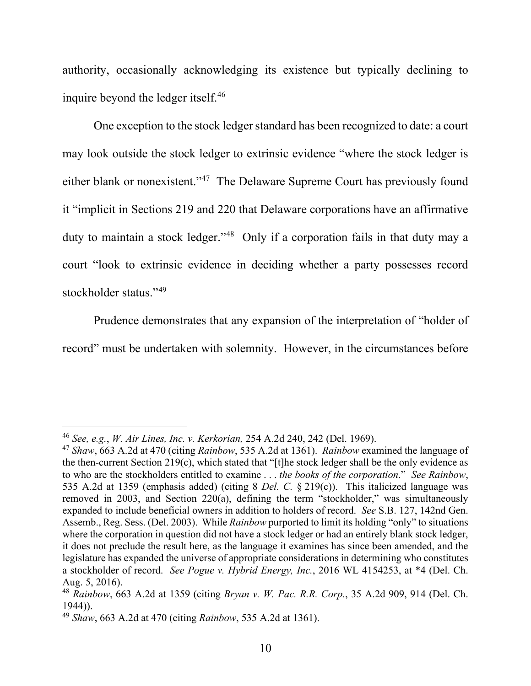authority, occasionally acknowledging its existence but typically declining to inquire beyond the ledger itself. 46

One exception to the stock ledger standard has been recognized to date: a court may look outside the stock ledger to extrinsic evidence "where the stock ledger is either blank or nonexistent."47 The Delaware Supreme Court has previously found it "implicit in Sections 219 and 220 that Delaware corporations have an affirmative duty to maintain a stock ledger."<sup>48</sup> Only if a corporation fails in that duty may a court "look to extrinsic evidence in deciding whether a party possesses record stockholder status."<sup>49</sup>

Prudence demonstrates that any expansion of the interpretation of "holder of record" must be undertaken with solemnity. However, in the circumstances before

<sup>46</sup> *See, e.g.*, *W. Air Lines, Inc. v. Kerkorian,* 254 A.2d 240, 242 (Del. 1969).

<sup>47</sup> *Shaw*, 663 A.2d at 470 (citing *Rainbow*, 535 A.2d at 1361). *Rainbow* examined the language of the then-current Section 219(c), which stated that "[t]he stock ledger shall be the only evidence as to who are the stockholders entitled to examine . . . *the books of the corporation*." *See Rainbow*, 535 A.2d at 1359 (emphasis added) (citing 8 *Del. C.* § 219(c)). This italicized language was removed in 2003, and Section 220(a), defining the term "stockholder," was simultaneously expanded to include beneficial owners in addition to holders of record. *See* S.B. 127, 142nd Gen. Assemb., Reg. Sess. (Del. 2003). While *Rainbow* purported to limit its holding "only" to situations where the corporation in question did not have a stock ledger or had an entirely blank stock ledger, it does not preclude the result here, as the language it examines has since been amended, and the legislature has expanded the universe of appropriate considerations in determining who constitutes a stockholder of record. *See Pogue v. Hybrid Energy, Inc.*, 2016 WL 4154253, at \*4 (Del. Ch. Aug. 5, 2016).

<sup>48</sup> *Rainbow*, 663 A.2d at 1359 (citing *Bryan v. W. Pac. R.R. Corp.*, 35 A.2d 909, 914 (Del. Ch. 1944)).

<sup>49</sup> *Shaw*, 663 A.2d at 470 (citing *Rainbow*, 535 A.2d at 1361).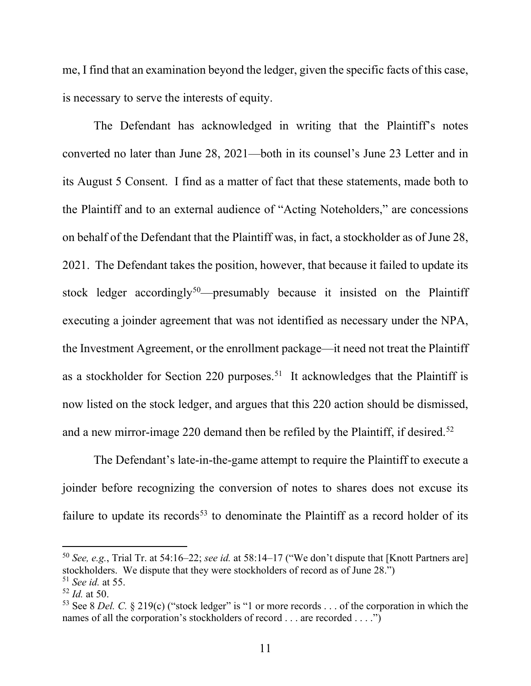me, I find that an examination beyond the ledger, given the specific facts of this case, is necessary to serve the interests of equity.

The Defendant has acknowledged in writing that the Plaintiff's notes converted no later than June 28, 2021—both in its counsel's June 23 Letter and in its August 5 Consent. I find as a matter of fact that these statements, made both to the Plaintiff and to an external audience of "Acting Noteholders," are concessions on behalf of the Defendant that the Plaintiff was, in fact, a stockholder as of June 28, 2021. The Defendant takes the position, however, that because it failed to update its stock ledger accordingly<sup>50</sup>—presumably because it insisted on the Plaintiff executing a joinder agreement that was not identified as necessary under the NPA, the Investment Agreement, or the enrollment package—it need not treat the Plaintiff as a stockholder for Section 220 purposes.<sup>51</sup> It acknowledges that the Plaintiff is now listed on the stock ledger, and argues that this 220 action should be dismissed, and a new mirror-image 220 demand then be refiled by the Plaintiff, if desired. 52

The Defendant's late-in-the-game attempt to require the Plaintiff to execute a joinder before recognizing the conversion of notes to shares does not excuse its failure to update its records<sup>53</sup> to denominate the Plaintiff as a record holder of its

<sup>50</sup> *See, e.g.*, Trial Tr. at 54:16–22; *see id.* at 58:14–17 ("We don't dispute that [Knott Partners are] stockholders. We dispute that they were stockholders of record as of June 28.") <sup>51</sup> *See id.* at 55.

<sup>52</sup> *Id.* at 50.

<sup>&</sup>lt;sup>53</sup> See 8 *Del. C.* § 219(c) ("stock ledger" is "1 or more records . . . of the corporation in which the names of all the corporation's stockholders of record . . . are recorded . . . .")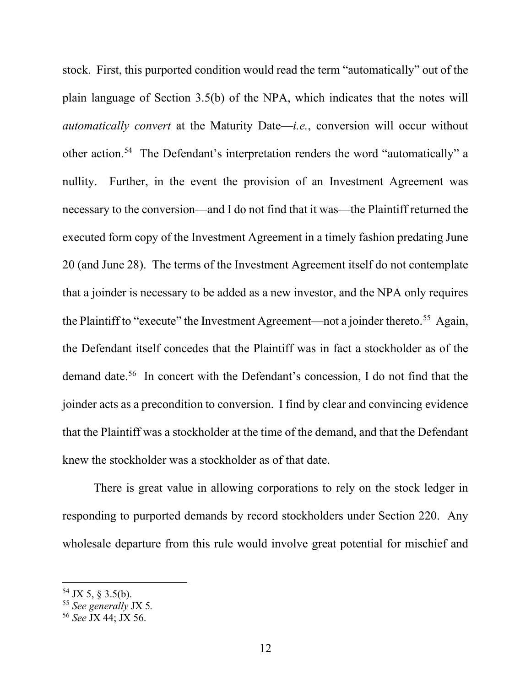stock. First, this purported condition would read the term "automatically" out of the plain language of Section 3.5(b) of the NPA, which indicates that the notes will *automatically convert* at the Maturity Date—*i.e.*, conversion will occur without other action.54 The Defendant's interpretation renders the word "automatically" a nullity. Further, in the event the provision of an Investment Agreement was necessary to the conversion—and I do not find that it was—the Plaintiff returned the executed form copy of the Investment Agreement in a timely fashion predating June 20 (and June 28). The terms of the Investment Agreement itself do not contemplate that a joinder is necessary to be added as a new investor, and the NPA only requires the Plaintiff to "execute" the Investment Agreement—not a joinder thereto.<sup>55</sup> Again, the Defendant itself concedes that the Plaintiff was in fact a stockholder as of the demand date.56 In concert with the Defendant's concession, I do not find that the joinder acts as a precondition to conversion. I find by clear and convincing evidence that the Plaintiff was a stockholder at the time of the demand, and that the Defendant knew the stockholder was a stockholder as of that date.

There is great value in allowing corporations to rely on the stock ledger in responding to purported demands by record stockholders under Section 220. Any wholesale departure from this rule would involve great potential for mischief and

 $54$  JX 5, § 3.5(b).

<sup>55</sup> *See generally* JX 5*.* 

<sup>56</sup> *See* JX 44; JX 56.